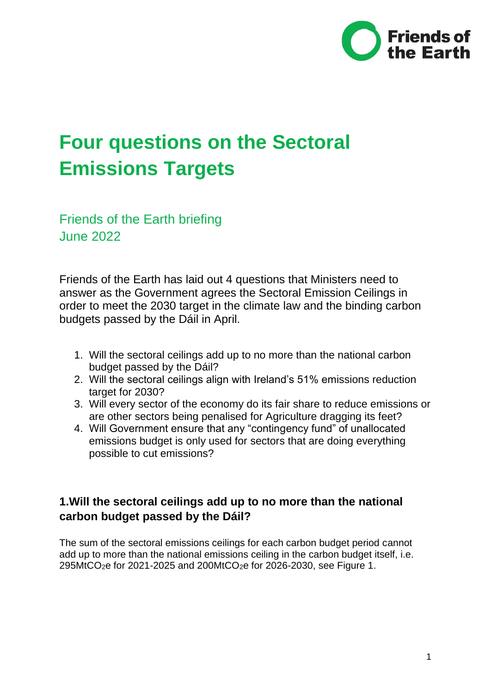

# **Four questions on the Sectoral Emissions Targets**

Friends of the Earth briefing June 2022

Friends of the Earth has laid out 4 questions that Ministers need to answer as the Government agrees the Sectoral Emission Ceilings in order to meet the 2030 target in the climate law and the binding carbon budgets passed by the Dáil in April.

- 1. Will the sectoral ceilings add up to no more than the national carbon budget passed by the Dáil?
- 2. Will the sectoral ceilings align with Ireland's 51% emissions reduction target for 2030?
- 3. Will every sector of the economy do its fair share to reduce emissions or are other sectors being penalised for Agriculture dragging its feet?
- 4. Will Government ensure that any "contingency fund" of unallocated emissions budget is only used for sectors that are doing everything possible to cut emissions?

### **1.Will the sectoral ceilings add up to no more than the national carbon budget passed by the Dáil?**

The sum of the sectoral emissions ceilings for each carbon budget period cannot add up to more than the national emissions ceiling in the carbon budget itself, i.e. 295MtCO2e for 2021-2025 and 200MtCO2e for 2026-2030, see Figure 1.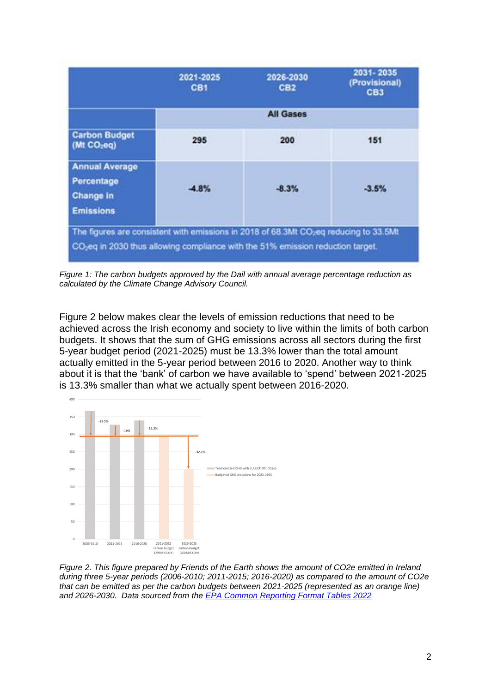|                                                                             | 2021-2025<br>CB <sub>1</sub> | 2026-2030<br>CB <sub>2</sub> | 2031-2035<br>(Provisional)<br>CB <sub>3</sub> |  |
|-----------------------------------------------------------------------------|------------------------------|------------------------------|-----------------------------------------------|--|
|                                                                             | <b>All Gases</b>             |                              |                                               |  |
| <b>Carbon Budget</b><br>(Mt CO <sub>2</sub> eq)                             | 295                          | 200                          | 151                                           |  |
| <b>Annual Average</b><br>Percentage<br><b>Change in</b><br><b>Emissions</b> | $-4.8%$                      | $-8.3%$                      | $-3.5%$                                       |  |

*Figure 1: The carbon budgets approved by the Dail with annual average percentage reduction as calculated by the Climate Change Advisory Council.*

Figure 2 below makes clear the levels of emission reductions that need to be achieved across the Irish economy and society to live within the limits of both carbon budgets. It shows that the sum of GHG emissions across all sectors during the first 5-year budget period (2021-2025) must be 13.3% lower than the total amount actually emitted in the 5-year period between 2016 to 2020. Another way to think about it is that the 'bank' of carbon we have available to 'spend' between 2021-2025 is 13.3% smaller than what we actually spent between 2016-2020.



*Figure 2. This figure prepared by Friends of the Earth shows the amount of CO2e emitted in Ireland during three 5-year periods (2006-2010; 2011-2015; 2016-2020) as compared to the amount of CO2e that can be emitted as per the carbon budgets between 2021-2025 (represented as an orange line) and 2026-2030. Data sourced from the [EPA Common Reporting Format Tables 2022](https://www.epa.ie/publications/monitoring--assessment/climate-change/air-emissions/irelands-national-inventory-submissions-2022.php)*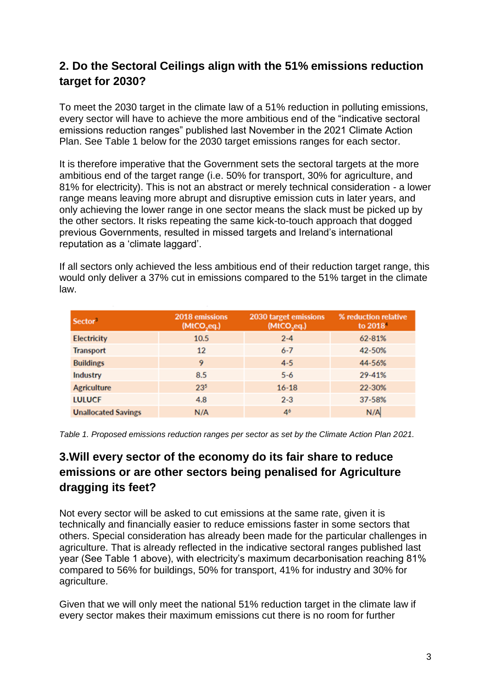#### **2. Do the Sectoral Ceilings align with the 51% emissions reduction target for 2030?**

To meet the 2030 target in the climate law of a 51% reduction in polluting emissions, every sector will have to achieve the more ambitious end of the "indicative sectoral emissions reduction ranges" published last November in the 2021 Climate Action Plan. See Table 1 below for the 2030 target emissions ranges for each sector.

It is therefore imperative that the Government sets the sectoral targets at the more ambitious end of the target range (i.e. 50% for transport, 30% for agriculture, and 81% for electricity). This is not an abstract or merely technical consideration - a lower range means leaving more abrupt and disruptive emission cuts in later years, and only achieving the lower range in one sector means the slack must be picked up by the other sectors. It risks repeating the same kick-to-touch approach that dogged previous Governments, resulted in missed targets and Ireland's international reputation as a 'climate laggard'.

If all sectors only achieved the less ambitious end of their reduction target range, this would only deliver a 37% cut in emissions compared to the 51% target in the climate law.

| Sector <sup>3</sup>        | 2018 emissions<br>(MtCO <sub>2</sub> eq.) | 2030 target emissions<br>(MtCO <sub>2</sub> eq.) | % reduction relative<br>to 2018 |
|----------------------------|-------------------------------------------|--------------------------------------------------|---------------------------------|
| <b>Electricity</b>         | 10.5                                      | $2 - 4$                                          | 62-81%                          |
| <b>Transport</b>           | 12                                        | $6 - 7$                                          | 42-50%                          |
| <b>Buildings</b>           | 9                                         | $4 - 5$                                          | 44-56%                          |
| Industry                   | 8.5                                       | $5 - 6$                                          | 29-41%                          |
| <b>Agriculture</b>         | 23 <sup>5</sup>                           | $16 - 18$                                        | 22-30%                          |
| <b>LULUCF</b>              | 4.8                                       | $2 - 3$                                          | 37-58%                          |
| <b>Unallocated Savings</b> | N/A                                       | 4 <sup>6</sup>                                   | N/A                             |

*Table 1. Proposed emissions reduction ranges per sector as set by the Climate Action Plan 2021.*

## **3.Will every sector of the economy do its fair share to reduce emissions or are other sectors being penalised for Agriculture dragging its feet?**

Not every sector will be asked to cut emissions at the same rate, given it is technically and financially easier to reduce emissions faster in some sectors that others. Special consideration has already been made for the particular challenges in agriculture. That is already reflected in the indicative sectoral ranges published last year (See Table 1 above), with electricity's maximum decarbonisation reaching 81% compared to 56% for buildings, 50% for transport, 41% for industry and 30% for agriculture.

Given that we will only meet the national 51% reduction target in the climate law if every sector makes their maximum emissions cut there is no room for further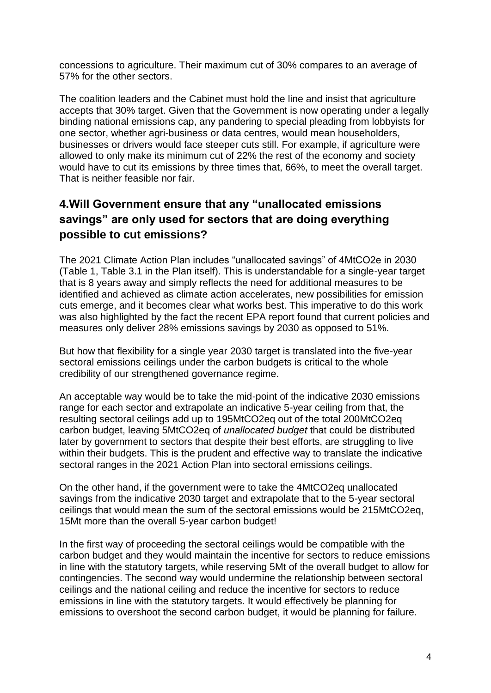concessions to agriculture. Their maximum cut of 30% compares to an average of 57% for the other sectors.

The coalition leaders and the Cabinet must hold the line and insist that agriculture accepts that 30% target. Given that the Government is now operating under a legally binding national emissions cap, any pandering to special pleading from lobbyists for one sector, whether agri-business or data centres, would mean householders, businesses or drivers would face steeper cuts still. For example, if agriculture were allowed to only make its minimum cut of 22% the rest of the economy and society would have to cut its emissions by three times that, 66%, to meet the overall target. That is neither feasible nor fair.

### **4.Will Government ensure that any "unallocated emissions savings" are only used for sectors that are doing everything possible to cut emissions?**

The 2021 Climate Action Plan includes "unallocated savings" of 4MtCO2e in 2030 (Table 1, Table 3.1 in the Plan itself). This is understandable for a single-year target that is 8 years away and simply reflects the need for additional measures to be identified and achieved as climate action accelerates, new possibilities for emission cuts emerge, and it becomes clear what works best. This imperative to do this work was also highlighted by the fact the recent EPA report found that current policies and measures only deliver 28% emissions savings by 2030 as opposed to 51%.

But how that flexibility for a single year 2030 target is translated into the five-year sectoral emissions ceilings under the carbon budgets is critical to the whole credibility of our strengthened governance regime.

An acceptable way would be to take the mid-point of the indicative 2030 emissions range for each sector and extrapolate an indicative 5-year ceiling from that, the resulting sectoral ceilings add up to 195MtCO2eq out of the total 200MtCO2eq carbon budget, leaving 5MtCO2eq of *unallocated budget* that could be distributed later by government to sectors that despite their best efforts, are struggling to live within their budgets. This is the prudent and effective way to translate the indicative sectoral ranges in the 2021 Action Plan into sectoral emissions ceilings.

On the other hand, if the government were to take the 4MtCO2eq unallocated savings from the indicative 2030 target and extrapolate that to the 5-year sectoral ceilings that would mean the sum of the sectoral emissions would be 215MtCO2eq, 15Mt more than the overall 5-year carbon budget!

In the first way of proceeding the sectoral ceilings would be compatible with the carbon budget and they would maintain the incentive for sectors to reduce emissions in line with the statutory targets, while reserving 5Mt of the overall budget to allow for contingencies. The second way would undermine the relationship between sectoral ceilings and the national ceiling and reduce the incentive for sectors to reduce emissions in line with the statutory targets. It would effectively be planning for emissions to overshoot the second carbon budget, it would be planning for failure.